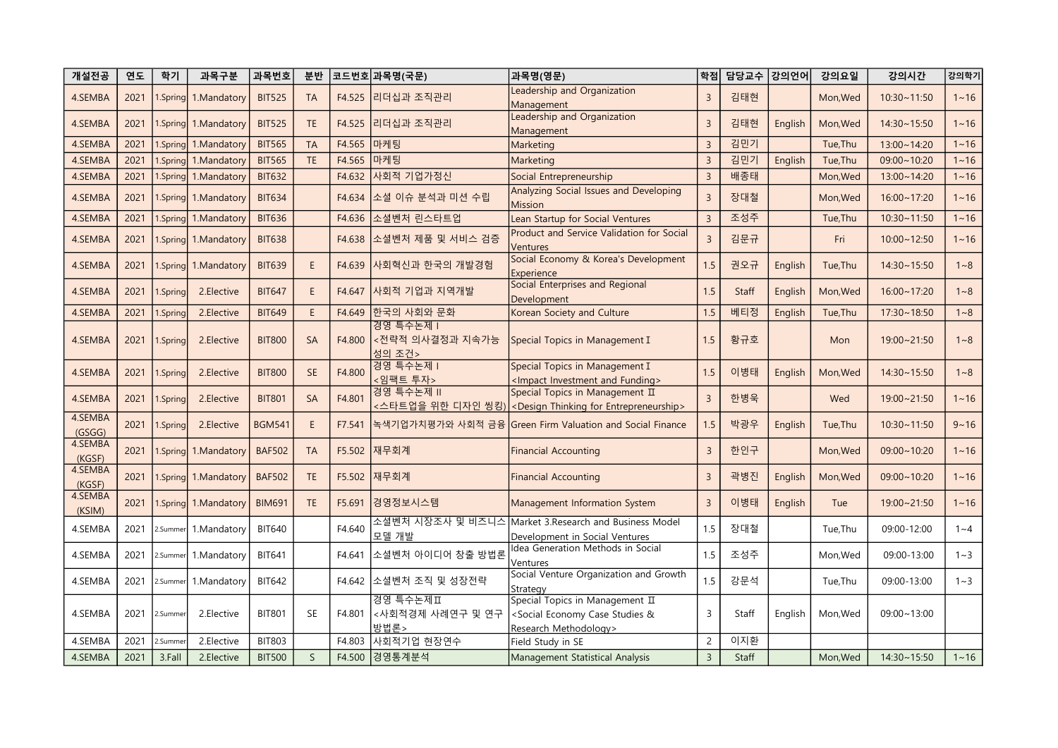| 개설전공              | 연도   | 학기       | 과목구분                 | 과목번호          | 분반           |        | │코드번호│과목명(국문)                           | 과목명(영문)                                                                                                            | 학점             | 담당교수 강의언어 |         | 강의요일     | 강의시간               | 강의학기     |
|-------------------|------|----------|----------------------|---------------|--------------|--------|-----------------------------------------|--------------------------------------------------------------------------------------------------------------------|----------------|-----------|---------|----------|--------------------|----------|
| 4.SEMBA           | 2021 |          | 1.Spring 1.Mandatory | <b>BIT525</b> | <b>TA</b>    | F4.525 | 리더십과 조직관리                               | eadership and Organization<br>Management                                                                           | $\overline{3}$ | 김태현       |         | Mon, Wed | 10:30~11:50        | $1 - 16$ |
| 4.SEMBA           | 2021 |          | 1.Spring 1.Mandatory | <b>BIT525</b> | <b>TE</b>    | F4.525 | 리더십과 조직관리                               | Leadership and Organization<br>Management                                                                          | $\overline{3}$ | 김태현       | English | Mon, Wed | 14:30~15:50        | $1 - 16$ |
| 4.SEMBA           | 2021 | 1.Spring | 1.Mandatory          | <b>BIT565</b> | <b>TA</b>    | F4.565 | 마케팅                                     | Marketing                                                                                                          | $\overline{3}$ | 김민기       |         | Tue, Thu | 13:00~14:20        | $1 - 16$ |
| 4.SEMBA           | 2021 | 1.Spring | 1.Mandatory          | <b>BIT565</b> | TE           | F4.565 | 마케팅                                     | Marketing                                                                                                          | $\overline{3}$ | 김민기       | English | Tue, Thu | 09:00~10:20        | $1 - 16$ |
| 4.SEMBA           | 2021 | Spring   | 1.Mandatory          | <b>BIT632</b> |              | F4.632 | 사회적 기업가정신                               | Social Entrepreneurship                                                                                            | $\overline{3}$ | 배종태       |         | Mon, Wed | 13:00~14:20        | $1 - 16$ |
| 4.SEMBA           | 2021 |          | 1.Spring 1.Mandatory | <b>BIT634</b> |              | F4.634 | 소셜 이슈 분석과 미션 수립                         | Analyzing Social Issues and Developing<br>Mission                                                                  | $\overline{3}$ | 장대철       |         | Mon, Wed | 16:00~17:20        | $1 - 16$ |
| 4.SEMBA           | 2021 |          | 1.Spring 1.Mandatory | <b>BIT636</b> |              | F4.636 | 소셜벤처 린스타트업                              | Lean Startup for Social Ventures                                                                                   | $\overline{3}$ | 조성주       |         | Tue, Thu | $10:30 - 11:50$    | $1 - 16$ |
| 4.SEMBA           | 2021 |          | 1.Spring 1.Mandatory | <b>BIT638</b> |              | F4.638 | 소셜벤처 제품 및 서비스 검증                        | Product and Service Validation for Social<br>Ventures                                                              | $\overline{3}$ | 김문규       |         | Fri      | $10:00 - 12:50$    | $1 - 16$ |
| 4.SEMBA           | 2021 |          | 1.Spring 1.Mandatory | <b>BIT639</b> | E            | F4.639 | 사회혁신과 한국의 개발경험                          | Social Economy & Korea's Development<br>Experience                                                                 | 1.5            | 권오규       | English | Tue, Thu | $14:30 \sim 15:50$ | $1 - 8$  |
| 4.SEMBA           | 2021 | 1.Spring | 2. Elective          | <b>BIT647</b> | E            | F4.647 | 사회적 기업과 지역개발                            | Social Enterprises and Regional<br>Development                                                                     | 1.5            | Staff     | English | Mon, Wed | $16:00 - 17:20$    | $1 - 8$  |
| 4.SEMBA           | 2021 | 1.Spring | 2.Elective           | <b>BIT649</b> | E            | F4.649 | 한국의 사회와 문화                              | Korean Society and Culture                                                                                         | 1.5            | 베티정       | English | Tue, Thu | 17:30~18:50        | $1 - 8$  |
| 4.SEMBA           | 2021 | 1.Spring | 2.Elective           | <b>BIT800</b> | <b>SA</b>    | F4.800 | 경영 특수논제  <br><전략적 의사결정과 지속가능<br>성의 조건 > | Special Topics in Management I                                                                                     | 1.5            | 황규호       |         | Mon      | 19:00~21:50        | $1 - 8$  |
| 4.SEMBA           | 2021 | 1.Spring | 2.Elective           | <b>BIT800</b> | <b>SE</b>    | F4.800 | 경영 특수논제  <br><임팩트 투자>                   | Special Topics in Management I<br><impact and="" funding="" investment=""></impact>                                | 1.5            | 이병태       | English | Mon, Wed | $14:30 \sim 15:50$ | $1 - 8$  |
| 4.SEMBA           | 2021 | 1.Spring | 2.Elective           | <b>BIT801</b> | SA           | F4.801 | 경영 특수논제 II<br><스타트업을 위한 디자인 씽킹)         | Special Topics in Management II<br><design entrepreneurship="" for="" thinking=""></design>                        | $\overline{3}$ | 한병욱       |         | Wed      | 19:00~21:50        | $1 - 16$ |
| 4.SEMBA<br>(GSGG) | 2021 | 1.Spring | 2.Elective           | <b>BGM541</b> | E            | F7.541 |                                         | 녹색기업가치평가와 사회적 금융 Green Firm Valuation and Social Finance                                                           | 1.5            | 박광우       | English | Tue, Thu | $10:30 - 11:50$    | $9 - 16$ |
| 4.SEMBA<br>(KGSF) | 2021 |          | 1.Spring 1.Mandatory | <b>BAF502</b> | <b>TA</b>    | F5.502 | 재무회계                                    | <b>Financial Accounting</b>                                                                                        | $\overline{3}$ | 한인구       |         | Mon, Wed | $09:00 \sim 10:20$ | $1 - 16$ |
| 4.SEMBA<br>(KGSF) | 2021 |          | 1.Spring 1.Mandatory | <b>BAF502</b> | <b>TE</b>    | F5.502 | 재무회계                                    | <b>Financial Accounting</b>                                                                                        | $\overline{3}$ | 곽병진       | English | Mon, Wed | $09:00 - 10:20$    | $1 - 16$ |
| 4.SEMBA<br>(KSIM) | 2021 |          | 1.Spring 1.Mandatory | <b>BIM691</b> | <b>TE</b>    | F5.691 | 경영정보시스템                                 | Management Information System                                                                                      | $\overline{3}$ | 이병태       | English | Tue      | 19:00~21:50        | $1 - 16$ |
| 4.SEMBA           | 2021 | 2.Summer | 1.Mandatory          | <b>BIT640</b> |              | F4.640 | 소셜벤처 시장조사 및 비즈니스<br>모델 개발               | Market 3. Research and Business Model<br>Development in Social Ventures                                            | 1.5            | 장대철       |         | Tue, Thu | 09:00-12:00        | $1 - 4$  |
| 4.SEMBA           | 2021 | 2.Summer | 1.Mandatory          | <b>BIT641</b> |              | F4.641 | 소셜벤처 아이디어 창출 방법론                        | Idea Generation Methods in Social<br>Ventures                                                                      | 1.5            | 조성주       |         | Mon, Wed | 09:00-13:00        | $1 - 3$  |
| 4.SEMBA           | 2021 | 2.Summer | 1.Mandatory          | <b>BIT642</b> |              | F4.642 | 소셜벤처 조직 및 성장전략                          | Social Venture Organization and Growth<br>Strategv                                                                 | 1.5            | 강문석       |         | Tue, Thu | 09:00-13:00        | $1 - 3$  |
| 4.SEMBA           | 2021 | 2.Summer | 2.Elective           | <b>BIT801</b> | <b>SE</b>    | F4.801 | 경영 특수논제Ⅱ<br><사회적경제 사례연구 및 연구<br>방법론>    | Special Topics in Management II<br><social &<br="" case="" economy="" studies="">Research Methodology&gt;</social> | $\overline{3}$ | Staff     | English | Mon, Wed | $09:00 - 13:00$    |          |
| 4.SEMBA           | 2021 | 2.Summe  | 2.Elective           | <b>BIT803</b> |              | F4.803 | 사회적기업 현장연수                              | Field Study in SE                                                                                                  | $\overline{2}$ | 이지환       |         |          |                    |          |
| 4.SEMBA           | 2021 | 3.Fall   | 2.Elective           | <b>BIT500</b> | $\mathsf{S}$ |        | F4.500 경영통계분석                           | Management Statistical Analysis                                                                                    | $\overline{3}$ | Staff     |         | Mon.Wed  | 14:30~15:50        | $1 - 16$ |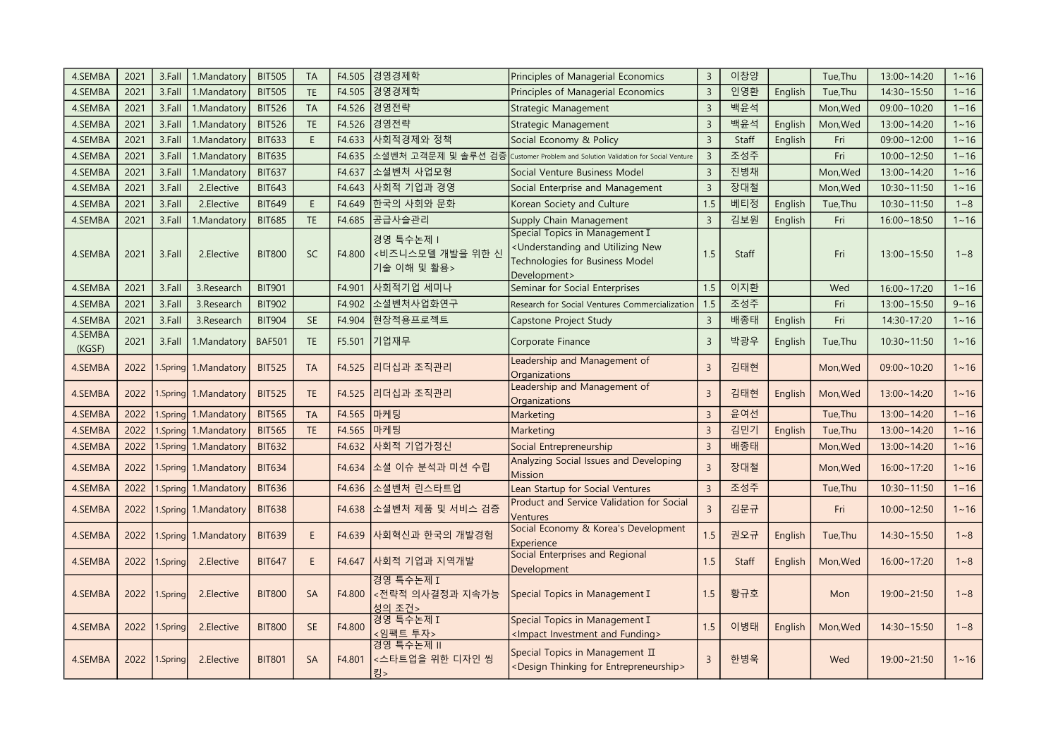| 4.SEMBA           | 2021 | 3.Fall   | 1.Mandatory          | <b>BIT505</b> | <b>TA</b>   | F4.505 | 경영경제학                                        | Principles of Managerial Economics                                                                                                                 | $\overline{3}$ | 이창양   |         | Tue, Thu | 13:00~14:20        | $1 - 16$ |
|-------------------|------|----------|----------------------|---------------|-------------|--------|----------------------------------------------|----------------------------------------------------------------------------------------------------------------------------------------------------|----------------|-------|---------|----------|--------------------|----------|
| 4.SEMBA           | 2021 | 3.Fall   | 1.Mandatory          | <b>BIT505</b> | <b>TE</b>   | F4.505 | 경영경제학                                        | Principles of Managerial Economics                                                                                                                 | $\overline{3}$ | 인영환   | English | Tue, Thu | 14:30~15:50        | $1 - 16$ |
| 4.SEMBA           | 2021 | 3.Fall   | 1.Mandatory          | <b>BIT526</b> | <b>TA</b>   | F4.526 | 경영전략                                         | Strategic Management                                                                                                                               | $\overline{3}$ | 백윤석   |         | Mon, Wed | $09:00 - 10:20$    | $1 - 16$ |
| 4.SEMBA           | 2021 | 3.Fall   | 1.Mandatory          | <b>BIT526</b> | TE          | F4.526 | 경영전략                                         | <b>Strategic Management</b>                                                                                                                        | $\overline{3}$ | 백윤석   | English | Mon, Wed | 13:00~14:20        | $1 - 16$ |
| 4.SEMBA           | 2021 | 3.Fall   | 1.Mandatory          | <b>BIT633</b> | E           | F4.633 | ┃사회적경제와 정책                                   | Social Economy & Policy                                                                                                                            | $\overline{3}$ | Staff | English | Fri      | $09:00 - 12:00$    | $1 - 16$ |
| 4.SEMBA           | 2021 | 3.Fall   | 1.Mandatory          | <b>BIT635</b> |             | F4.635 | 소셜벤처 고객문제 및 솔루션 검증                           | Customer Problem and Solution Validation for Social Venture                                                                                        | $\overline{3}$ | 조성주   |         | Fri      | $10:00 - 12:50$    | $1 - 16$ |
| 4.SEMBA           | 2021 | 3.Fall   | 1.Mandatory          | <b>BIT637</b> |             | F4.637 | 소셜벤처 사업모형                                    | Social Venture Business Model                                                                                                                      | $\overline{3}$ | 진병채   |         | Mon, Wed | 13:00~14:20        | $1 - 16$ |
| 4.SEMBA           | 2021 | 3.Fall   | 2.Elective           | <b>BIT643</b> |             | F4.643 | 사회적 기업과 경영                                   | Social Enterprise and Management                                                                                                                   | $\overline{3}$ | 장대철   |         | Mon, Wed | 10:30~11:50        | $1 - 16$ |
| 4.SEMBA           | 2021 | 3.Fall   | 2.Elective           | <b>BIT649</b> | $\mathsf E$ | F4.649 | 한국의 사회와 문화                                   | Korean Society and Culture                                                                                                                         | 1.5            | 베티정   | English | Tue, Thu | 10:30~11:50        | $1 - 8$  |
| 4.SEMBA           | 2021 | 3.Fall   | 1.Mandatory          | <b>BIT685</b> | <b>TE</b>   | F4.685 | 공급사슬관리                                       | Supply Chain Management                                                                                                                            | $\overline{3}$ | 김보원   | English | Fri      | $16:00 - 18:50$    | $1 - 16$ |
| 4.SEMBA           | 2021 | 3.Fall   | 2.Elective           | <b>BIT800</b> | <b>SC</b>   | F4.800 | 경영 특수논제  <br><비즈니스모델 개발을 위한 신<br>기술 이해 및 활용> | Special Topics in Management I<br><understanding and="" new<br="" utilizing="">Technologies for Business Model<br/>Development&gt;</understanding> | 1.5            | Staff |         | Fri      | 13:00~15:50        | $1 - 8$  |
| 4.SEMBA           | 2021 | 3.Fall   | 3.Research           | <b>BIT901</b> |             | F4.901 | 사회적기업 세미나                                    | Seminar for Social Enterprises                                                                                                                     | 1.5            | 이지환   |         | Wed      | 16:00~17:20        | $1 - 16$ |
| 4.SEMBA           | 2021 | 3.Fall   | 3.Research           | <b>BIT902</b> |             | F4.902 | 소셜벤처사업화연구                                    | Research for Social Ventures Commercialization                                                                                                     | 1.5            | 조성주   |         | Fri      | 13:00~15:50        | $9 - 16$ |
| 4.SEMBA           | 2021 | 3.Fall   | 3.Research           | <b>BIT904</b> | SE          | F4.904 | 현장적용프로젝트                                     | Capstone Project Study                                                                                                                             | $\overline{3}$ | 배종태   | English | Fri      | 14:30-17:20        | $1 - 16$ |
| 4.SEMBA<br>(KGSF) | 2021 | 3.Fall   | 1.Mandatory          | <b>BAF501</b> | <b>TE</b>   | F5.501 | 기업재무                                         | Corporate Finance                                                                                                                                  | $\overline{3}$ | 박광우   | English | Tue, Thu | $10:30 - 11:50$    | $1 - 16$ |
| 4.SEMBA           | 2022 |          | 1.Spring 1.Mandatory | <b>BIT525</b> | <b>TA</b>   | F4.525 | 리더십과 조직관리                                    | Leadership and Management of<br>Organizations                                                                                                      | $\overline{3}$ | 김태현   |         | Mon, Wed | $09:00 - 10:20$    | $1 - 16$ |
| 4.SEMBA           | 2022 |          | Spring 1. Mandatory  | <b>BIT525</b> | <b>TE</b>   | F4.525 | 리더십과 조직관리                                    | Leadership and Management of<br>Organizations                                                                                                      | $\overline{3}$ | 김태현   | English | Mon, Wed | 13:00~14:20        | $1 - 16$ |
| 4.SEMBA           | 2022 | Spring   | 1.Mandatory          | <b>BIT565</b> | <b>TA</b>   | F4.565 | 마케팅                                          | Marketing                                                                                                                                          | $\overline{3}$ | 윤여선   |         | Tue, Thu | 13:00~14:20        | $1 - 16$ |
| 4.SEMBA           | 2022 |          | 1.Spring 1.Mandatory | <b>BIT565</b> | TE          | F4.565 | 마케팅                                          | Marketing                                                                                                                                          | $\overline{3}$ | 김민기   | English | Tue, Thu | 13:00~14:20        | $1 - 16$ |
| 4.SEMBA           | 2022 |          | 1.Spring 1.Mandatory | <b>BIT632</b> |             | F4.632 | 사회적 기업가정신                                    | Social Entrepreneurship                                                                                                                            | $\overline{3}$ | 배종태   |         | Mon, Wed | 13:00~14:20        | $1 - 16$ |
| 4.SEMBA           | 2022 |          | 1.Spring 1.Mandatory | <b>BIT634</b> |             |        | F4.634  소셜 이슈 분석과 미션 수립                      | Analyzing Social Issues and Developing<br><b>Mission</b>                                                                                           | $\overline{3}$ | 장대철   |         | Mon, Wed | 16:00~17:20        | $1 - 16$ |
| 4.SEMBA           | 2022 |          | Spring 1. Mandatory  | <b>BIT636</b> |             | F4.636 | 소셜벤처 린스타트업                                   | Lean Startup for Social Ventures                                                                                                                   | $\overline{3}$ | 조성주   |         | Tue, Thu | $10:30 - 11:50$    | $1 - 16$ |
| 4.SEMBA           | 2022 |          | Spring 1. Mandatory  | <b>BIT638</b> |             | F4.638 | 소셜벤처 제품 및 서비스 검증                             | Product and Service Validation for Social<br>Ventures                                                                                              | $\overline{3}$ | 김문규   |         | Fri      | $10:00 - 12:50$    | $1 - 16$ |
| 4.SEMBA           | 2022 |          | 1.Spring 1.Mandatory | <b>BIT639</b> | E           | F4.639 | 사회혁신과 한국의 개발경험                               | Social Economy & Korea's Development<br>Experience                                                                                                 | 1.5            | 권오규   | English | Tue, Thu | $14:30 \sim 15:50$ | $1 - 8$  |
| 4.SEMBA           | 2022 | 1.Spring | 2. Elective          | <b>BIT647</b> | E           | F4.647 | 사회적 기업과 지역개발                                 | Social Enterprises and Regional<br>Development                                                                                                     | 1.5            | Staff | English | Mon, Wed | $16:00 \sim 17:20$ | $1 - 8$  |
| 4.SEMBA           | 2022 | 1.Spring | 2.Elective           | <b>BIT800</b> | SA          | F4.800 | 경영 특수논제 I<br><전략적 의사결정과 지속가능<br>성의 조건>       | Special Topics in Management I                                                                                                                     | 1.5            | 황규호   |         | Mon      | 19:00~21:50        | $1 - 8$  |
| 4.SEMBA           | 2022 | 1.Spring | 2.Elective           | <b>BIT800</b> | <b>SE</b>   | F4.800 | 경영 특수논제 I<br><임팩트 투자>                        | Special Topics in Management I<br><impact and="" funding="" investment=""></impact>                                                                | 1.5            | 이병태   | English | Mon, Wed | 14:30~15:50        | $1 - 8$  |
| 4.SEMBA           | 2022 | 1.Spring | 2. Elective          | <b>BIT801</b> | <b>SA</b>   | F4.801 | 경영 특수논제 II<br><스타트업을 위한 디자인 씽<br>킹>          | Special Topics in Management II<br><design entrepreneurship="" for="" thinking=""></design>                                                        | $\overline{3}$ | 한병욱   |         | Wed      | 19:00~21:50        | $1 - 16$ |